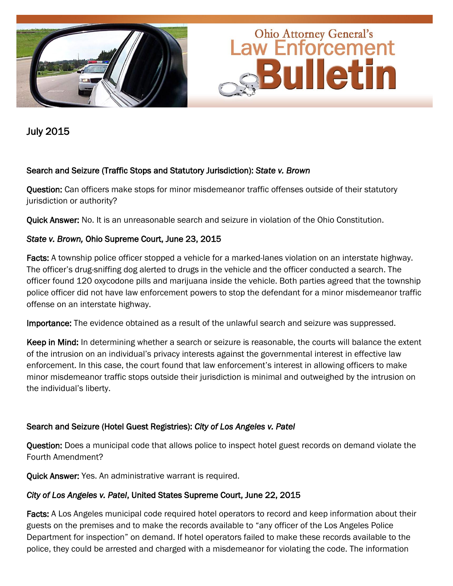

July 2015

### Search and Seizure (Traffic Stops and Statutory Jurisdiction): *State v. Brown*

Question: Can officers make stops for minor misdemeanor traffic offenses outside of their statutory jurisdiction or authority?

Quick Answer: No. It is an unreasonable search and seizure in violation of the Ohio Constitution.

# *State v. Brown,* Ohio Supreme Court, June 23, 2015

Facts: A township police officer stopped a vehicle for a marked-lanes violation on an interstate highway. The officer's drug-sniffing dog alerted to drugs in the vehicle and the officer conducted a search. The officer found 120 oxycodone pills and marijuana inside the vehicle. Both parties agreed that the township police officer did not have law enforcement powers to stop the defendant for a minor misdemeanor traffic offense on an interstate highway.

Importance: The evidence obtained as a result of the unlawful search and seizure was suppressed.

Keep in Mind: In determining whether a search or seizure is reasonable, the courts will balance the extent of the intrusion on an individual's privacy interests against the governmental interest in effective law enforcement. In this case, the court found that law enforcement's interest in allowing officers to make minor misdemeanor traffic stops outside their jurisdiction is minimal and outweighed by the intrusion on the individual's liberty.

#### Search and Seizure (Hotel Guest Registries): *City of Los Angeles v. Patel*

Question: Does a municipal code that allows police to inspect hotel guest records on demand violate the Fourth Amendment?

Quick Answer: Yes. An administrative warrant is required.

#### *City of Los Angeles v. Patel*, United States Supreme Court, June 22, 2015

Facts: A Los Angeles municipal code required hotel operators to record and keep information about their guests on the premises and to make the records available to "any officer of the Los Angeles Police Department for inspection" on demand. If hotel operators failed to make these records available to the police, they could be arrested and charged with a misdemeanor for violating the code. The information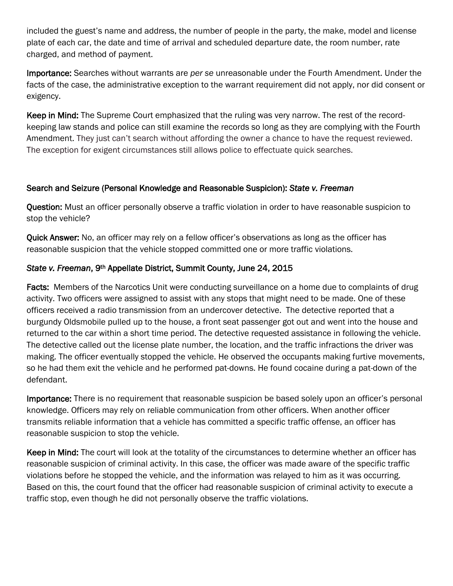included the guest's name and address, the number of people in the party, the make, model and license plate of each car, the date and time of arrival and scheduled departure date, the room number, rate charged, and method of payment.

Importance: Searches without warrants are *per se* unreasonable under the Fourth Amendment. Under the facts of the case, the administrative exception to the warrant requirement did not apply, nor did consent or exigency.

Keep in Mind: The Supreme Court emphasized that the ruling was very narrow. The rest of the recordkeeping law stands and police can still examine the records so long as they are complying with the Fourth Amendment. They just can't search without affording the owner a chance to have the request reviewed. The exception for exigent circumstances still allows police to effectuate quick searches.

# Search and Seizure (Personal Knowledge and Reasonable Suspicion): *State v. Freeman*

Question: Must an officer personally observe a traffic violation in order to have reasonable suspicion to stop the vehicle?

Quick Answer: No, an officer may rely on a fellow officer's observations as long as the officer has reasonable suspicion that the vehicle stopped committed one or more traffic violations.

# *State v. Freeman*, 9th Appellate District, Summit County, June 24, 2015

Facts: Members of the Narcotics Unit were conducting surveillance on a home due to complaints of drug activity. Two officers were assigned to assist with any stops that might need to be made. One of these officers received a radio transmission from an undercover detective. The detective reported that a burgundy Oldsmobile pulled up to the house, a front seat passenger got out and went into the house and returned to the car within a short time period. The detective requested assistance in following the vehicle. The detective called out the license plate number, the location, and the traffic infractions the driver was making. The officer eventually stopped the vehicle. He observed the occupants making furtive movements, so he had them exit the vehicle and he performed pat-downs. He found cocaine during a pat-down of the defendant.

Importance: There is no requirement that reasonable suspicion be based solely upon an officer's personal knowledge. Officers may rely on reliable communication from other officers. When another officer transmits reliable information that a vehicle has committed a specific traffic offense, an officer has reasonable suspicion to stop the vehicle.

Keep in Mind: The court will look at the totality of the circumstances to determine whether an officer has reasonable suspicion of criminal activity. In this case, the officer was made aware of the specific traffic violations before he stopped the vehicle, and the information was relayed to him as it was occurring. Based on this, the court found that the officer had reasonable suspicion of criminal activity to execute a traffic stop, even though he did not personally observe the traffic violations.